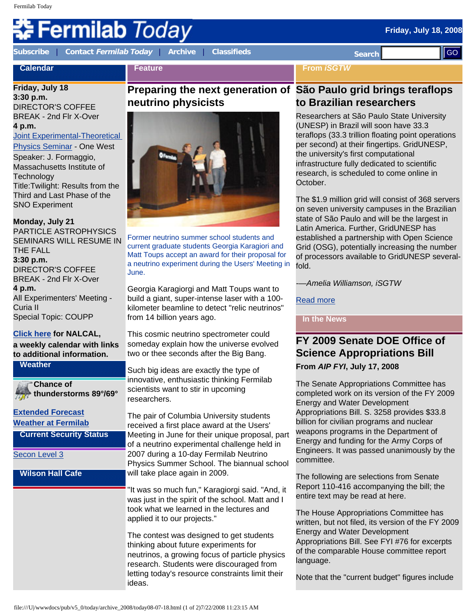## **ermilab** *Today*

**Feature**

**[Subscribe](http://www.fnal.gov/pub/today/subscription.html)** | **Contact [Fermilab Today](mailto:today@fnal.gov)** | **[Archive](http://www.fnal.gov/pub/today/archive.html)** | **[Classifieds](http://www.fnal.gov/pub/today/classifieds.html) Search** 

**From** *iSGTW*

## **Calendar**

**Friday, July 18 3:30 p.m.**  DIRECTOR'S COFFEE BREAK - 2nd Flr X-Over **4 p.m.** 

### [Joint Experimental-Theoretical](http://theory.fnal.gov/jetp/)

[Physics Seminar](http://theory.fnal.gov/jetp/) - One West Speaker: J. Formaggio, Massachusetts Institute of **Technology** Title:Twilight: Results from the Third and Last Phase of the SNO Experiment

#### **Monday, July 21**

PARTICLE ASTROPHYSICS SEMINARS WILL RESUME IN THE FALL **3:30 p.m.** DIRECTOR'S COFFEE BREAK - 2nd Flr X-Over **4 p.m.** All Experimenters' Meeting - Curia II Special Topic: COUPP

#### **[Click here](http://www.fnal.gov/directorate/nalcal/nalcal07_14_08.html) for NALCAL,**

**a weekly calendar with links to additional information.**

**Weather**

**Chance of thunderstorms 89°/69°**

## **[Extended Forecast](http://forecast.weather.gov/MapClick.php?CityName=Batavia&state=IL&site=LOT&textField1=41.8506&textField2=-88.3004)**

**[Weather at Fermilab](http://www-esh.fnal.gov/pls/default/weather.html)**

**Current Security Status**

[Secon Level 3](http://www.fnal.gov/pub/about/public_affairs/currentstatus.html)

#### **Wilson Hall Cafe**

## **Preparing the next generation of São Paulo grid brings teraflops neutrino physicists**



Former neutrino summer school students and current graduate students Georgia Karagiori and Matt Toups accept an award for their proposal for a neutrino experiment during the Users' Meeting in June.

Georgia Karagiorgi and Matt Toups want to build a giant, super-intense laser with a 100 kilometer beamline to detect "relic neutrinos" from 14 billion years ago.

This cosmic neutrino spectrometer could someday explain how the universe evolved two or thee seconds after the Big Bang.

Such big ideas are exactly the type of innovative, enthusiastic thinking Fermilab scientists want to stir in upcoming researchers.

The pair of Columbia University students received a first place award at the Users' Meeting in June for their unique proposal, part of a neutrino experimental challenge held in 2007 during a 10-day Fermilab Neutrino Physics Summer School. The biannual school will take place again in 2009.

"It was so much fun," Karagiorgi said. "And, it was just in the spirit of the school. Matt and I took what we learned in the lectures and applied it to our projects."

The contest was designed to get students thinking about future experiments for neutrinos, a growing focus of particle physics research. Students were discouraged from letting today's resource constraints limit their ideas.

# **to Brazilian researchers**

Researchers at São Paulo State University (UNESP) in Brazil will soon have 33.3 teraflops (33.3 trillion floating point operations per second) at their fingertips. GridUNESP, the university's first computational infrastructure fully dedicated to scientific research, is scheduled to come online in October.

The \$1.9 million grid will consist of 368 servers on seven university campuses in the Brazilian state of São Paulo and will be the largest in Latin America. Further, GridUNESP has established a partnership with Open Science Grid (OSG), potentially increasing the number of processors available to GridUNESP severalfold.

*-—Amelia Williamson, iSGTW*

[Read more](http://www.isgtw.org/?pid=1001237)

#### **In the News**

### **FY 2009 Senate DOE Office of Science Appropriations Bill From** *AIP FYI***, July 17, 2008**

The Senate Appropriations Committee has completed work on its version of the FY 2009 Energy and Water Development Appropriations Bill. S. 3258 provides \$33.8 billion for civilian programs and nuclear weapons programs in the Department of Energy and funding for the Army Corps of Engineers. It was passed unanimously by the committee.

The following are selections from Senate Report 110-416 accompanying the bill; the entire text may be read at here.

The House Appropriations Committee has written, but not filed, its version of the FY 2009 Energy and Water Development Appropriations Bill. See FYI #76 for excerpts of the comparable House committee report language.

Note that the "current budget" figures include